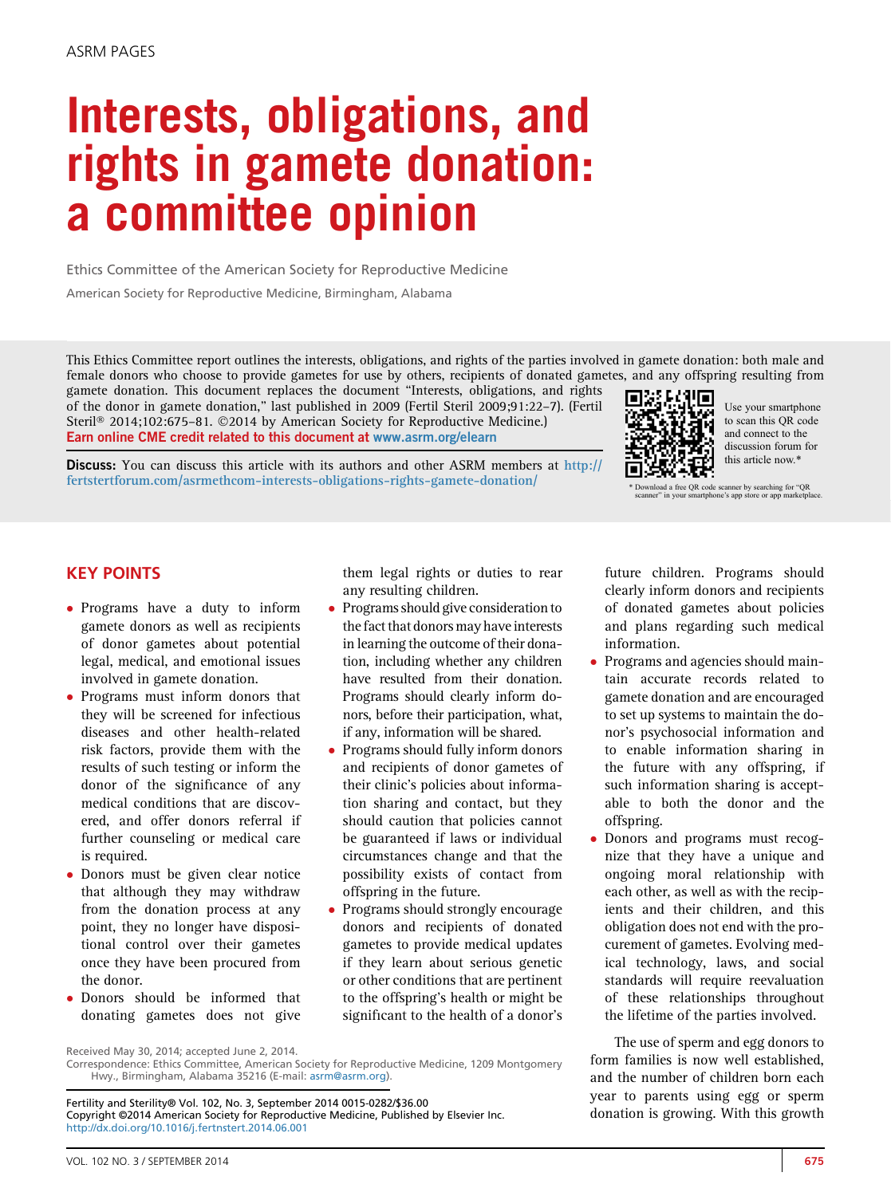# Interests, obligations, and rights in gamete donation: a committee opinion

Ethics Committee of the American Society for Reproductive Medicine

American Society for Reproductive Medicine, Birmingham, Alabama

This Ethics Committee report outlines the interests, obligations, and rights of the parties involved in gamete donation: both male and female donors who choose to provide gametes for use by others, recipients of donated gametes, and any offspring resulting from gamete donation. This document replaces the document ''Interests, obligations, and rights

of the donor in gamete donation,'' last published in 2009 (Fertil Steril 2009;91:22–7). (Fertil Steril<sup>®</sup> 2014;102:675–81. ©2014 by American Society for Reproductive Medicine.) Earn online CME credit related to this document at [www.asrm.org/elearn](http://www.asrm.org/elearn)



Use your smartphone to scan this QR code and connect to the discussion forum for this article now.\*

Discuss: You can discuss this article with its authors and other ASRM members at [http://](http://fertstertforum.com/asrmethcom-interests-obligations-rights-gamete-donation/) [fertstertforum.com/asrmethcom-interests-obligations-rights-gamete-donation/](http://fertstertforum.com/asrmethcom-interests-obligations-rights-gamete-donation/)

mload a free OR code scanner by searching for "OR in your smartphone's app store or app marketplace

## KEY POINTS

- Programs have a duty to inform gamete donors as well as recipients of donor gametes about potential legal, medical, and emotional issues involved in gamete donation.
- Programs must inform donors that they will be screened for infectious diseases and other health-related risk factors, provide them with the results of such testing or inform the donor of the significance of any medical conditions that are discovered, and offer donors referral if further counseling or medical care is required.
- Donors must be given clear notice that although they may withdraw from the donation process at any point, they no longer have dispositional control over their gametes once they have been procured from the donor.
- Donors should be informed that donating gametes does not give

them legal rights or duties to rear any resulting children.

- Programs should give consideration to the fact that donors may have interests in learning the outcome of their donation, including whether any children have resulted from their donation. Programs should clearly inform donors, before their participation, what, if any, information will be shared.
- Programs should fully inform donors and recipients of donor gametes of their clinic's policies about information sharing and contact, but they should caution that policies cannot be guaranteed if laws or individual circumstances change and that the possibility exists of contact from offspring in the future.
- Programs should strongly encourage donors and recipients of donated gametes to provide medical updates if they learn about serious genetic or other conditions that are pertinent to the offspring's health or might be significant to the health of a donor's

future children. Programs should clearly inform donors and recipients of donated gametes about policies and plans regarding such medical information.

- Programs and agencies should maintain accurate records related to gamete donation and are encouraged to set up systems to maintain the donor's psychosocial information and to enable information sharing in the future with any offspring, if such information sharing is acceptable to both the donor and the offspring.
- Donors and programs must recognize that they have a unique and ongoing moral relationship with each other, as well as with the recipients and their children, and this obligation does not end with the procurement of gametes. Evolving medical technology, laws, and social standards will require reevaluation of these relationships throughout the lifetime of the parties involved.

The use of sperm and egg donors to form families is now well established, and the number of children born each year to parents using egg or sperm donation is growing. With this growth

Correspondence: Ethics Committee, American Society for Reproductive Medicine, 1209 Montgomery Hwy., Birmingham, Alabama 35216 (E-mail: [asrm@asrm.org\)](mailto:asrm@asrm.org).

Fertility and Sterility® Vol. 102, No. 3, September 2014 0015-0282/\$36.00 Copyright ©2014 American Society for Reproductive Medicine, Published by Elsevier Inc. <http://dx.doi.org/10.1016/j.fertnstert.2014.06.001>

Received May 30, 2014; accepted June 2, 2014.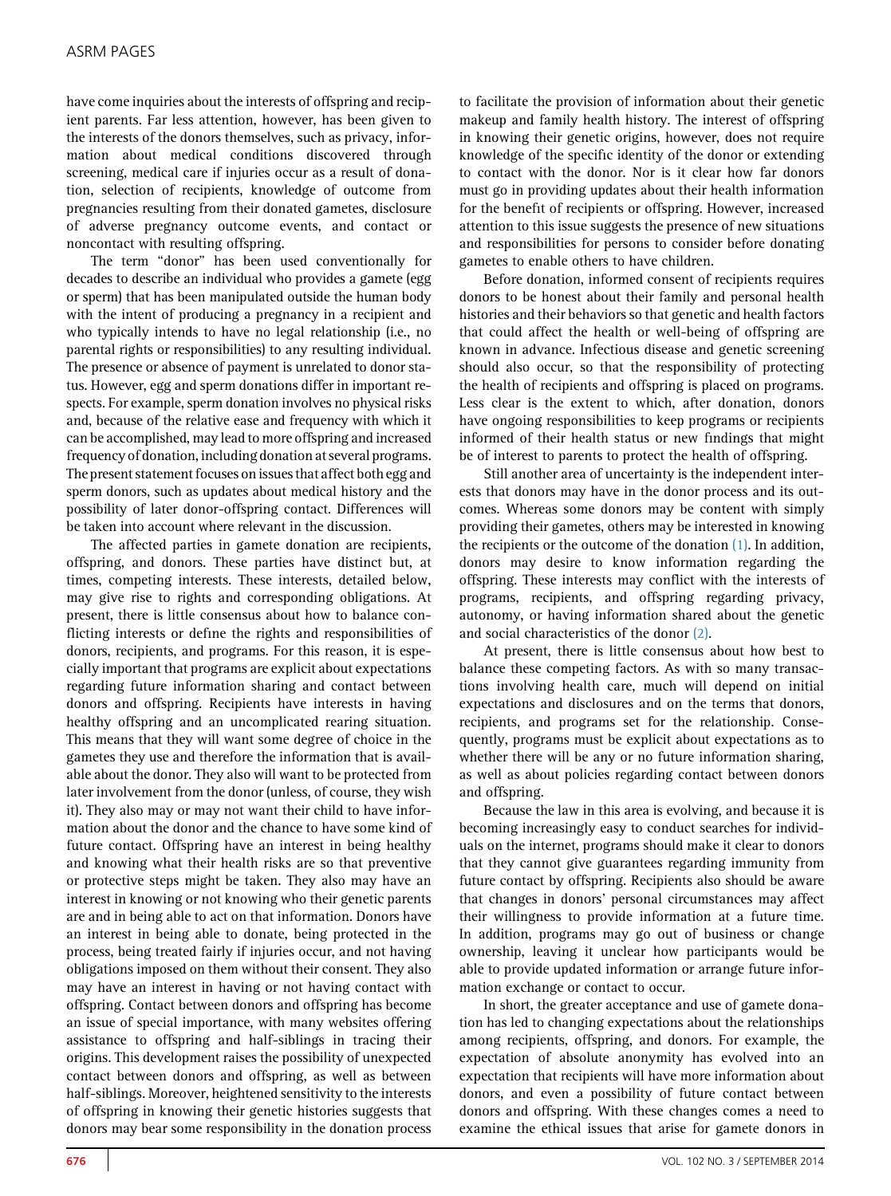have come inquiries about the interests of offspring and recipient parents. Far less attention, however, has been given to the interests of the donors themselves, such as privacy, information about medical conditions discovered through screening, medical care if injuries occur as a result of donation, selection of recipients, knowledge of outcome from pregnancies resulting from their donated gametes, disclosure of adverse pregnancy outcome events, and contact or noncontact with resulting offspring.

The term "donor" has been used conventionally for decades to describe an individual who provides a gamete (egg or sperm) that has been manipulated outside the human body with the intent of producing a pregnancy in a recipient and who typically intends to have no legal relationship (i.e., no parental rights or responsibilities) to any resulting individual. The presence or absence of payment is unrelated to donor status. However, egg and sperm donations differ in important respects. For example, sperm donation involves no physical risks and, because of the relative ease and frequency with which it can be accomplished, may lead to more offspring and increased frequency of donation, including donation at several programs. The present statement focuses on issues that affect both egg and sperm donors, such as updates about medical history and the possibility of later donor-offspring contact. Differences will be taken into account where relevant in the discussion.

The affected parties in gamete donation are recipients, offspring, and donors. These parties have distinct but, at times, competing interests. These interests, detailed below, may give rise to rights and corresponding obligations. At present, there is little consensus about how to balance conflicting interests or define the rights and responsibilities of donors, recipients, and programs. For this reason, it is especially important that programs are explicit about expectations regarding future information sharing and contact between donors and offspring. Recipients have interests in having healthy offspring and an uncomplicated rearing situation. This means that they will want some degree of choice in the gametes they use and therefore the information that is available about the donor. They also will want to be protected from later involvement from the donor (unless, of course, they wish it). They also may or may not want their child to have information about the donor and the chance to have some kind of future contact. Offspring have an interest in being healthy and knowing what their health risks are so that preventive or protective steps might be taken. They also may have an interest in knowing or not knowing who their genetic parents are and in being able to act on that information. Donors have an interest in being able to donate, being protected in the process, being treated fairly if injuries occur, and not having obligations imposed on them without their consent. They also may have an interest in having or not having contact with offspring. Contact between donors and offspring has become an issue of special importance, with many websites offering assistance to offspring and half-siblings in tracing their origins. This development raises the possibility of unexpected contact between donors and offspring, as well as between half-siblings. Moreover, heightened sensitivity to the interests of offspring in knowing their genetic histories suggests that donors may bear some responsibility in the donation process

to facilitate the provision of information about their genetic makeup and family health history. The interest of offspring in knowing their genetic origins, however, does not require knowledge of the specific identity of the donor or extending to contact with the donor. Nor is it clear how far donors must go in providing updates about their health information for the benefit of recipients or offspring. However, increased attention to this issue suggests the presence of new situations and responsibilities for persons to consider before donating gametes to enable others to have children.

Before donation, informed consent of recipients requires donors to be honest about their family and personal health histories and their behaviors so that genetic and health factors that could affect the health or well-being of offspring are known in advance. Infectious disease and genetic screening should also occur, so that the responsibility of protecting the health of recipients and offspring is placed on programs. Less clear is the extent to which, after donation, donors have ongoing responsibilities to keep programs or recipients informed of their health status or new findings that might be of interest to parents to protect the health of offspring.

Still another area of uncertainty is the independent interests that donors may have in the donor process and its outcomes. Whereas some donors may be content with simply providing their gametes, others may be interested in knowing the recipients or the outcome of the donation  $(1)$ . In addition, donors may desire to know information regarding the offspring. These interests may conflict with the interests of programs, recipients, and offspring regarding privacy, autonomy, or having information shared about the genetic and social characteristics of the donor [\(2\)](#page-6-0).

At present, there is little consensus about how best to balance these competing factors. As with so many transactions involving health care, much will depend on initial expectations and disclosures and on the terms that donors, recipients, and programs set for the relationship. Consequently, programs must be explicit about expectations as to whether there will be any or no future information sharing, as well as about policies regarding contact between donors and offspring.

Because the law in this area is evolving, and because it is becoming increasingly easy to conduct searches for individuals on the internet, programs should make it clear to donors that they cannot give guarantees regarding immunity from future contact by offspring. Recipients also should be aware that changes in donors' personal circumstances may affect their willingness to provide information at a future time. In addition, programs may go out of business or change ownership, leaving it unclear how participants would be able to provide updated information or arrange future information exchange or contact to occur.

In short, the greater acceptance and use of gamete donation has led to changing expectations about the relationships among recipients, offspring, and donors. For example, the expectation of absolute anonymity has evolved into an expectation that recipients will have more information about donors, and even a possibility of future contact between donors and offspring. With these changes comes a need to examine the ethical issues that arise for gamete donors in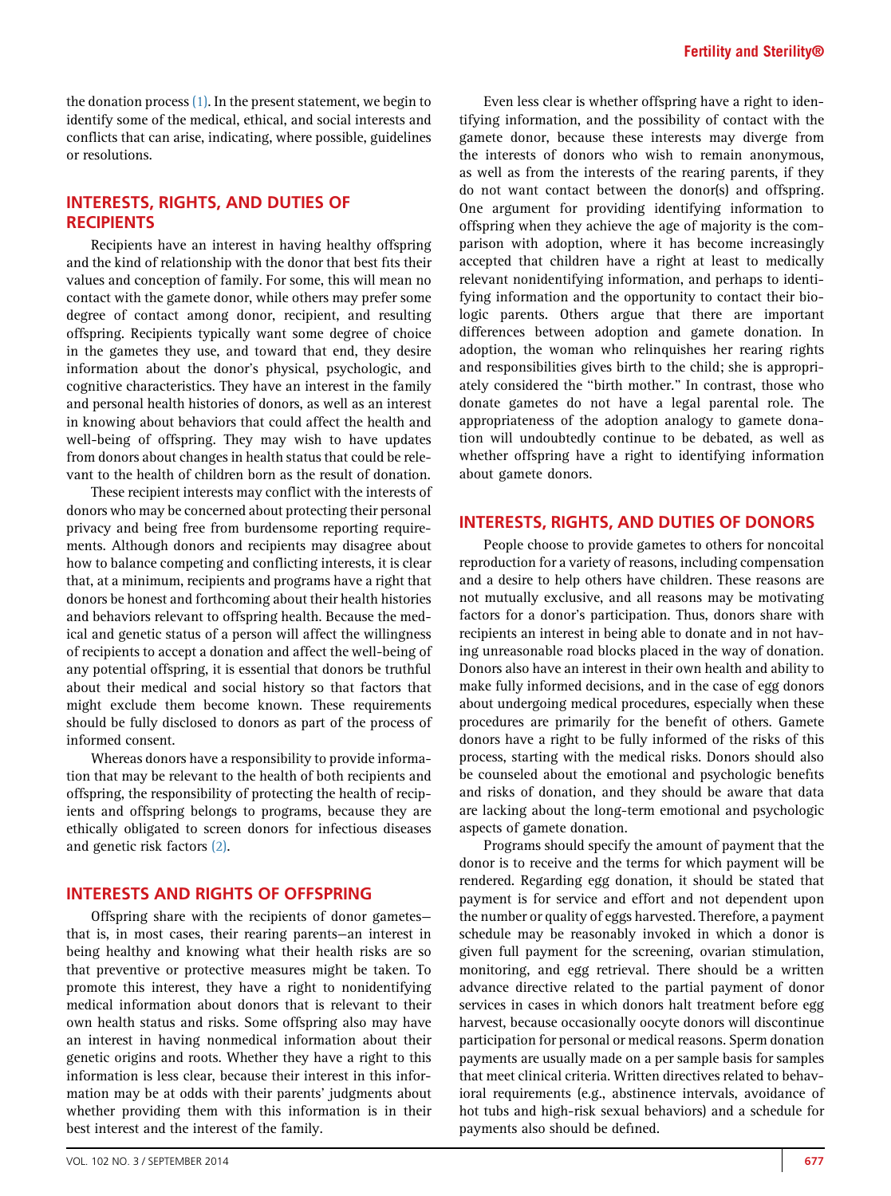the donation process  $(1)$ . In the present statement, we begin to identify some of the medical, ethical, and social interests and conflicts that can arise, indicating, where possible, guidelines or resolutions.

## INTERESTS, RIGHTS, AND DUTIES OF **RECIPIENTS**

Recipients have an interest in having healthy offspring and the kind of relationship with the donor that best fits their values and conception of family. For some, this will mean no contact with the gamete donor, while others may prefer some degree of contact among donor, recipient, and resulting offspring. Recipients typically want some degree of choice in the gametes they use, and toward that end, they desire information about the donor's physical, psychologic, and cognitive characteristics. They have an interest in the family and personal health histories of donors, as well as an interest in knowing about behaviors that could affect the health and well-being of offspring. They may wish to have updates from donors about changes in health status that could be relevant to the health of children born as the result of donation.

These recipient interests may conflict with the interests of donors who may be concerned about protecting their personal privacy and being free from burdensome reporting requirements. Although donors and recipients may disagree about how to balance competing and conflicting interests, it is clear that, at a minimum, recipients and programs have a right that donors be honest and forthcoming about their health histories and behaviors relevant to offspring health. Because the medical and genetic status of a person will affect the willingness of recipients to accept a donation and affect the well-being of any potential offspring, it is essential that donors be truthful about their medical and social history so that factors that might exclude them become known. These requirements should be fully disclosed to donors as part of the process of informed consent.

Whereas donors have a responsibility to provide information that may be relevant to the health of both recipients and offspring, the responsibility of protecting the health of recipients and offspring belongs to programs, because they are ethically obligated to screen donors for infectious diseases and genetic risk factors [\(2\).](#page-6-0)

## INTERESTS AND RIGHTS OF OFFSPRING

Offspring share with the recipients of donor gametes that is, in most cases, their rearing parents—an interest in being healthy and knowing what their health risks are so that preventive or protective measures might be taken. To promote this interest, they have a right to nonidentifying medical information about donors that is relevant to their own health status and risks. Some offspring also may have an interest in having nonmedical information about their genetic origins and roots. Whether they have a right to this information is less clear, because their interest in this information may be at odds with their parents' judgments about whether providing them with this information is in their best interest and the interest of the family.

Even less clear is whether offspring have a right to identifying information, and the possibility of contact with the gamete donor, because these interests may diverge from the interests of donors who wish to remain anonymous, as well as from the interests of the rearing parents, if they do not want contact between the donor(s) and offspring. One argument for providing identifying information to offspring when they achieve the age of majority is the comparison with adoption, where it has become increasingly accepted that children have a right at least to medically relevant nonidentifying information, and perhaps to identifying information and the opportunity to contact their biologic parents. Others argue that there are important differences between adoption and gamete donation. In adoption, the woman who relinquishes her rearing rights and responsibilities gives birth to the child; she is appropriately considered the ''birth mother.'' In contrast, those who donate gametes do not have a legal parental role. The appropriateness of the adoption analogy to gamete donation will undoubtedly continue to be debated, as well as whether offspring have a right to identifying information about gamete donors.

## INTERESTS, RIGHTS, AND DUTIES OF DONORS

People choose to provide gametes to others for noncoital reproduction for a variety of reasons, including compensation and a desire to help others have children. These reasons are not mutually exclusive, and all reasons may be motivating factors for a donor's participation. Thus, donors share with recipients an interest in being able to donate and in not having unreasonable road blocks placed in the way of donation. Donors also have an interest in their own health and ability to make fully informed decisions, and in the case of egg donors about undergoing medical procedures, especially when these procedures are primarily for the benefit of others. Gamete donors have a right to be fully informed of the risks of this process, starting with the medical risks. Donors should also be counseled about the emotional and psychologic benefits and risks of donation, and they should be aware that data are lacking about the long-term emotional and psychologic aspects of gamete donation.

Programs should specify the amount of payment that the donor is to receive and the terms for which payment will be rendered. Regarding egg donation, it should be stated that payment is for service and effort and not dependent upon the number or quality of eggs harvested. Therefore, a payment schedule may be reasonably invoked in which a donor is given full payment for the screening, ovarian stimulation, monitoring, and egg retrieval. There should be a written advance directive related to the partial payment of donor services in cases in which donors halt treatment before egg harvest, because occasionally oocyte donors will discontinue participation for personal or medical reasons. Sperm donation payments are usually made on a per sample basis for samples that meet clinical criteria. Written directives related to behavioral requirements (e.g., abstinence intervals, avoidance of hot tubs and high-risk sexual behaviors) and a schedule for payments also should be defined.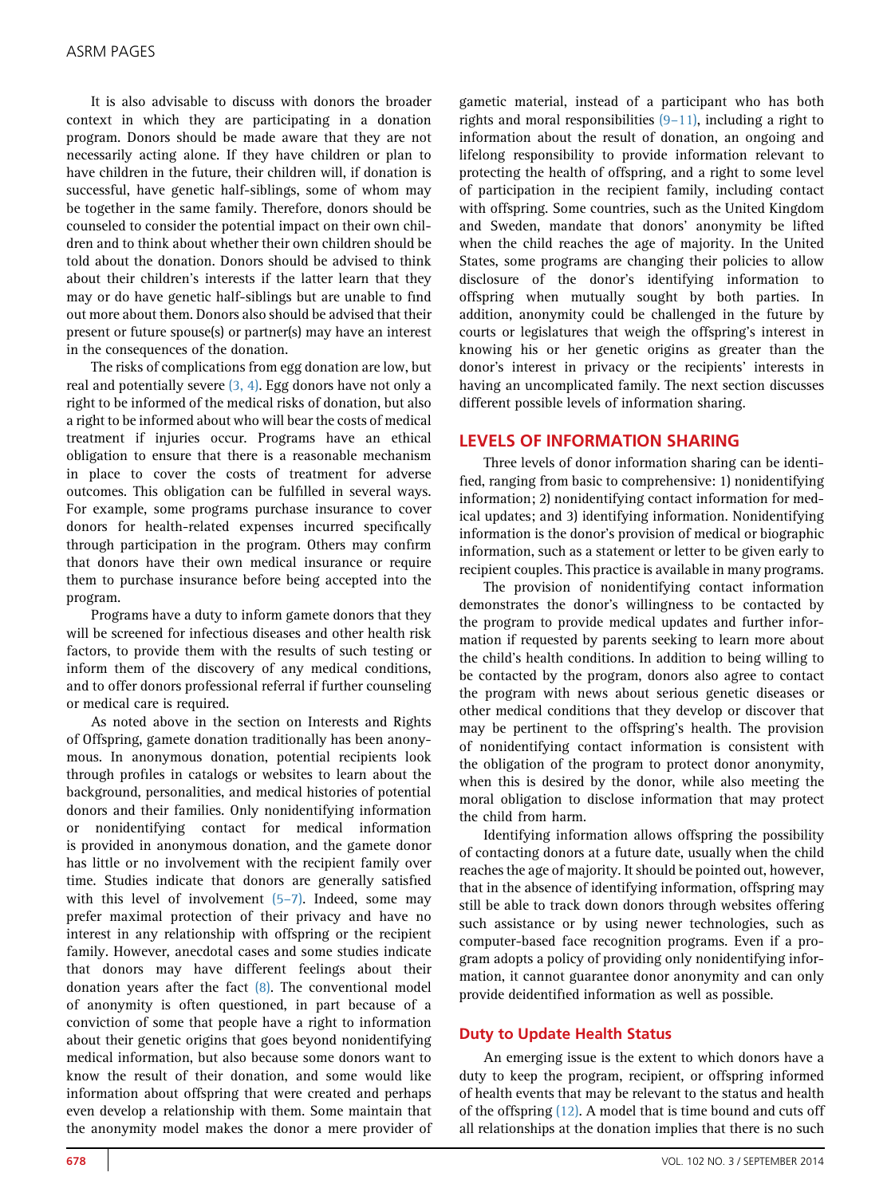It is also advisable to discuss with donors the broader context in which they are participating in a donation program. Donors should be made aware that they are not necessarily acting alone. If they have children or plan to have children in the future, their children will, if donation is successful, have genetic half-siblings, some of whom may be together in the same family. Therefore, donors should be counseled to consider the potential impact on their own children and to think about whether their own children should be told about the donation. Donors should be advised to think about their children's interests if the latter learn that they may or do have genetic half-siblings but are unable to find out more about them. Donors also should be advised that their present or future spouse(s) or partner(s) may have an interest in the consequences of the donation.

The risks of complications from egg donation are low, but real and potentially severe  $(3, 4)$ . Egg donors have not only a right to be informed of the medical risks of donation, but also a right to be informed about who will bear the costs of medical treatment if injuries occur. Programs have an ethical obligation to ensure that there is a reasonable mechanism in place to cover the costs of treatment for adverse outcomes. This obligation can be fulfilled in several ways. For example, some programs purchase insurance to cover donors for health-related expenses incurred specifically through participation in the program. Others may confirm that donors have their own medical insurance or require them to purchase insurance before being accepted into the program.

Programs have a duty to inform gamete donors that they will be screened for infectious diseases and other health risk factors, to provide them with the results of such testing or inform them of the discovery of any medical conditions, and to offer donors professional referral if further counseling or medical care is required.

As noted above in the section on Interests and Rights of Offspring, gamete donation traditionally has been anonymous. In anonymous donation, potential recipients look through profiles in catalogs or websites to learn about the background, personalities, and medical histories of potential donors and their families. Only nonidentifying information or nonidentifying contact for medical information is provided in anonymous donation, and the gamete donor has little or no involvement with the recipient family over time. Studies indicate that donors are generally satisfied with this level of involvement (5-[7\).](#page-6-0) Indeed, some may prefer maximal protection of their privacy and have no interest in any relationship with offspring or the recipient family. However, anecdotal cases and some studies indicate that donors may have different feelings about their donation years after the fact  $(8)$ . The conventional model of anonymity is often questioned, in part because of a conviction of some that people have a right to information about their genetic origins that goes beyond nonidentifying medical information, but also because some donors want to know the result of their donation, and some would like information about offspring that were created and perhaps even develop a relationship with them. Some maintain that the anonymity model makes the donor a mere provider of

gametic material, instead of a participant who has both rights and moral responsibilities (9–[11\),](#page-6-0) including a right to information about the result of donation, an ongoing and lifelong responsibility to provide information relevant to protecting the health of offspring, and a right to some level of participation in the recipient family, including contact with offspring. Some countries, such as the United Kingdom and Sweden, mandate that donors' anonymity be lifted when the child reaches the age of majority. In the United States, some programs are changing their policies to allow disclosure of the donor's identifying information to offspring when mutually sought by both parties. In addition, anonymity could be challenged in the future by courts or legislatures that weigh the offspring's interest in knowing his or her genetic origins as greater than the donor's interest in privacy or the recipients' interests in having an uncomplicated family. The next section discusses different possible levels of information sharing.

## LEVELS OF INFORMATION SHARING

Three levels of donor information sharing can be identified, ranging from basic to comprehensive: 1) nonidentifying information; 2) nonidentifying contact information for medical updates; and 3) identifying information. Nonidentifying information is the donor's provision of medical or biographic information, such as a statement or letter to be given early to recipient couples. This practice is available in many programs.

The provision of nonidentifying contact information demonstrates the donor's willingness to be contacted by the program to provide medical updates and further information if requested by parents seeking to learn more about the child's health conditions. In addition to being willing to be contacted by the program, donors also agree to contact the program with news about serious genetic diseases or other medical conditions that they develop or discover that may be pertinent to the offspring's health. The provision of nonidentifying contact information is consistent with the obligation of the program to protect donor anonymity, when this is desired by the donor, while also meeting the moral obligation to disclose information that may protect the child from harm.

Identifying information allows offspring the possibility of contacting donors at a future date, usually when the child reaches the age of majority. It should be pointed out, however, that in the absence of identifying information, offspring may still be able to track down donors through websites offering such assistance or by using newer technologies, such as computer-based face recognition programs. Even if a program adopts a policy of providing only nonidentifying information, it cannot guarantee donor anonymity and can only provide deidentified information as well as possible.

## Duty to Update Health Status

An emerging issue is the extent to which donors have a duty to keep the program, recipient, or offspring informed of health events that may be relevant to the status and health of the offspring  $(12)$ . A model that is time bound and cuts off all relationships at the donation implies that there is no such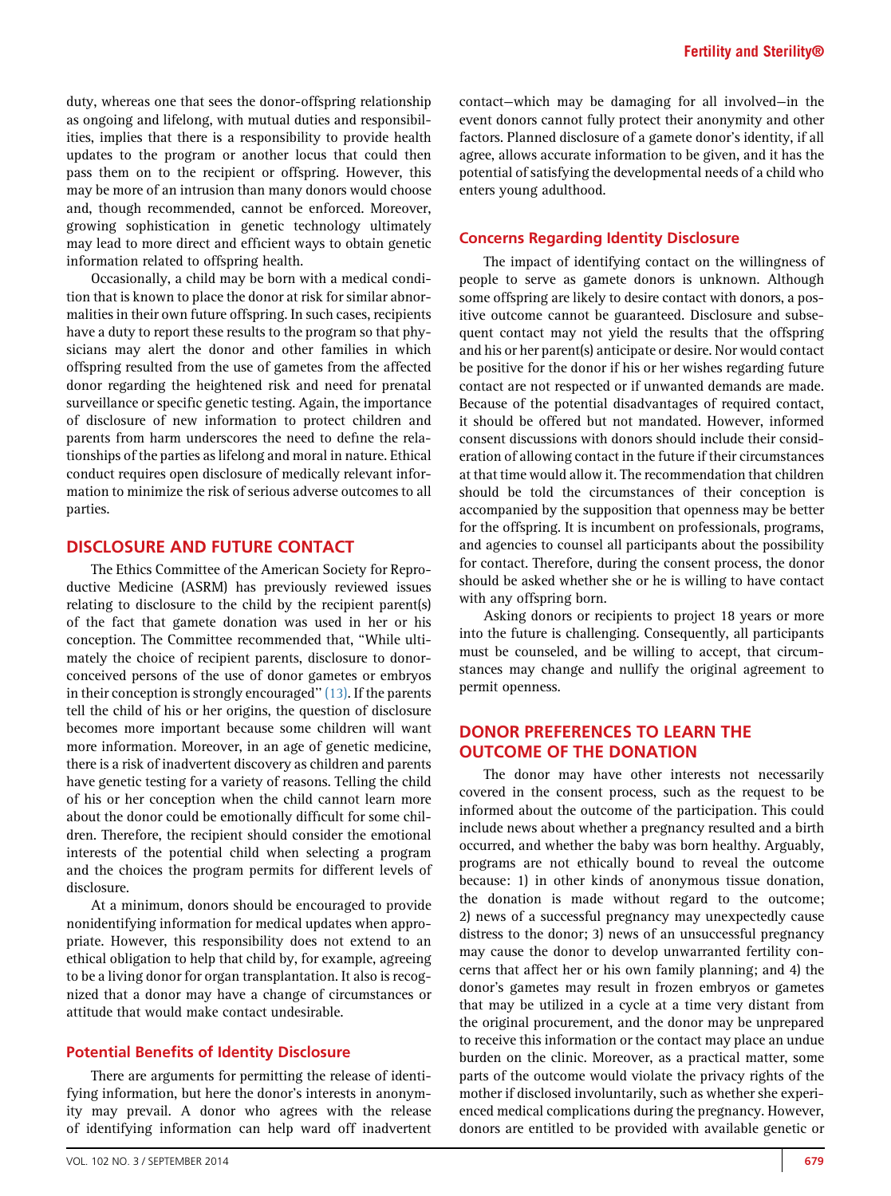duty, whereas one that sees the donor-offspring relationship as ongoing and lifelong, with mutual duties and responsibilities, implies that there is a responsibility to provide health updates to the program or another locus that could then pass them on to the recipient or offspring. However, this may be more of an intrusion than many donors would choose and, though recommended, cannot be enforced. Moreover, growing sophistication in genetic technology ultimately may lead to more direct and efficient ways to obtain genetic information related to offspring health.

Occasionally, a child may be born with a medical condition that is known to place the donor at risk for similar abnormalities in their own future offspring. In such cases, recipients have a duty to report these results to the program so that physicians may alert the donor and other families in which offspring resulted from the use of gametes from the affected donor regarding the heightened risk and need for prenatal surveillance or specific genetic testing. Again, the importance of disclosure of new information to protect children and parents from harm underscores the need to define the relationships of the parties as lifelong and moral in nature. Ethical conduct requires open disclosure of medically relevant information to minimize the risk of serious adverse outcomes to all parties.

## DISCLOSURE AND FUTURE CONTACT

The Ethics Committee of the American Society for Reproductive Medicine (ASRM) has previously reviewed issues relating to disclosure to the child by the recipient parent(s) of the fact that gamete donation was used in her or his conception. The Committee recommended that, ''While ultimately the choice of recipient parents, disclosure to donorconceived persons of the use of donor gametes or embryos in their conception is strongly encouraged'' [\(13\).](#page-6-0) If the parents tell the child of his or her origins, the question of disclosure becomes more important because some children will want more information. Moreover, in an age of genetic medicine, there is a risk of inadvertent discovery as children and parents have genetic testing for a variety of reasons. Telling the child of his or her conception when the child cannot learn more about the donor could be emotionally difficult for some children. Therefore, the recipient should consider the emotional interests of the potential child when selecting a program and the choices the program permits for different levels of disclosure.

At a minimum, donors should be encouraged to provide nonidentifying information for medical updates when appropriate. However, this responsibility does not extend to an ethical obligation to help that child by, for example, agreeing to be a living donor for organ transplantation. It also is recognized that a donor may have a change of circumstances or attitude that would make contact undesirable.

#### Potential Benefits of Identity Disclosure

There are arguments for permitting the release of identifying information, but here the donor's interests in anonymity may prevail. A donor who agrees with the release of identifying information can help ward off inadvertent contact—which may be damaging for all involved—in the event donors cannot fully protect their anonymity and other factors. Planned disclosure of a gamete donor's identity, if all agree, allows accurate information to be given, and it has the potential of satisfying the developmental needs of a child who enters young adulthood.

#### Concerns Regarding Identity Disclosure

The impact of identifying contact on the willingness of people to serve as gamete donors is unknown. Although some offspring are likely to desire contact with donors, a positive outcome cannot be guaranteed. Disclosure and subsequent contact may not yield the results that the offspring and his or her parent(s) anticipate or desire. Nor would contact be positive for the donor if his or her wishes regarding future contact are not respected or if unwanted demands are made. Because of the potential disadvantages of required contact, it should be offered but not mandated. However, informed consent discussions with donors should include their consideration of allowing contact in the future if their circumstances at that time would allow it. The recommendation that children should be told the circumstances of their conception is accompanied by the supposition that openness may be better for the offspring. It is incumbent on professionals, programs, and agencies to counsel all participants about the possibility for contact. Therefore, during the consent process, the donor should be asked whether she or he is willing to have contact with any offspring born.

Asking donors or recipients to project 18 years or more into the future is challenging. Consequently, all participants must be counseled, and be willing to accept, that circumstances may change and nullify the original agreement to permit openness.

## DONOR PREFERENCES TO LEARN THE OUTCOME OF THE DONATION

The donor may have other interests not necessarily covered in the consent process, such as the request to be informed about the outcome of the participation. This could include news about whether a pregnancy resulted and a birth occurred, and whether the baby was born healthy. Arguably, programs are not ethically bound to reveal the outcome because: 1) in other kinds of anonymous tissue donation, the donation is made without regard to the outcome; 2) news of a successful pregnancy may unexpectedly cause distress to the donor; 3) news of an unsuccessful pregnancy may cause the donor to develop unwarranted fertility concerns that affect her or his own family planning; and 4) the donor's gametes may result in frozen embryos or gametes that may be utilized in a cycle at a time very distant from the original procurement, and the donor may be unprepared to receive this information or the contact may place an undue burden on the clinic. Moreover, as a practical matter, some parts of the outcome would violate the privacy rights of the mother if disclosed involuntarily, such as whether she experienced medical complications during the pregnancy. However, donors are entitled to be provided with available genetic or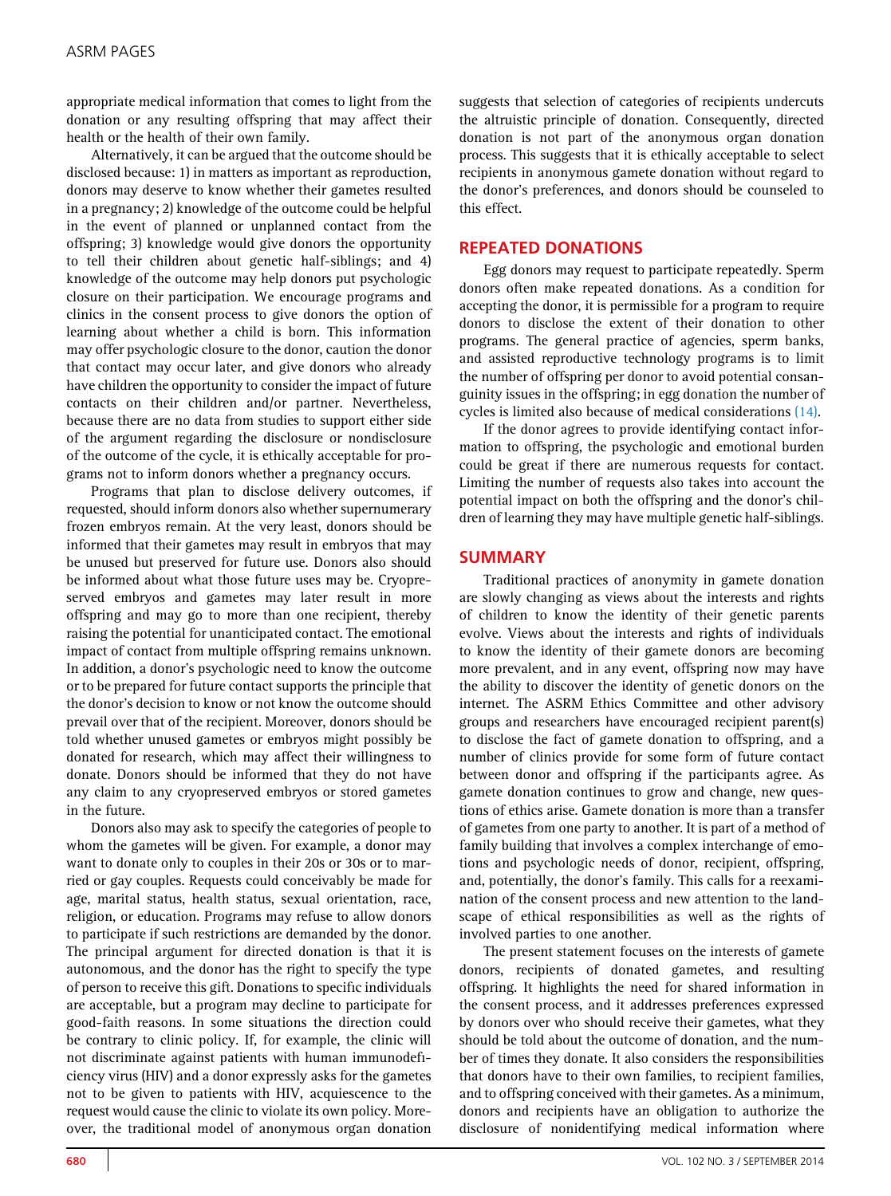appropriate medical information that comes to light from the donation or any resulting offspring that may affect their health or the health of their own family.

Alternatively, it can be argued that the outcome should be disclosed because: 1) in matters as important as reproduction, donors may deserve to know whether their gametes resulted in a pregnancy; 2) knowledge of the outcome could be helpful in the event of planned or unplanned contact from the offspring; 3) knowledge would give donors the opportunity to tell their children about genetic half-siblings; and 4) knowledge of the outcome may help donors put psychologic closure on their participation. We encourage programs and clinics in the consent process to give donors the option of learning about whether a child is born. This information may offer psychologic closure to the donor, caution the donor that contact may occur later, and give donors who already have children the opportunity to consider the impact of future contacts on their children and/or partner. Nevertheless, because there are no data from studies to support either side of the argument regarding the disclosure or nondisclosure of the outcome of the cycle, it is ethically acceptable for programs not to inform donors whether a pregnancy occurs.

Programs that plan to disclose delivery outcomes, if requested, should inform donors also whether supernumerary frozen embryos remain. At the very least, donors should be informed that their gametes may result in embryos that may be unused but preserved for future use. Donors also should be informed about what those future uses may be. Cryopreserved embryos and gametes may later result in more offspring and may go to more than one recipient, thereby raising the potential for unanticipated contact. The emotional impact of contact from multiple offspring remains unknown. In addition, a donor's psychologic need to know the outcome or to be prepared for future contact supports the principle that the donor's decision to know or not know the outcome should prevail over that of the recipient. Moreover, donors should be told whether unused gametes or embryos might possibly be donated for research, which may affect their willingness to donate. Donors should be informed that they do not have any claim to any cryopreserved embryos or stored gametes in the future.

Donors also may ask to specify the categories of people to whom the gametes will be given. For example, a donor may want to donate only to couples in their 20s or 30s or to married or gay couples. Requests could conceivably be made for age, marital status, health status, sexual orientation, race, religion, or education. Programs may refuse to allow donors to participate if such restrictions are demanded by the donor. The principal argument for directed donation is that it is autonomous, and the donor has the right to specify the type of person to receive this gift. Donations to specific individuals are acceptable, but a program may decline to participate for good-faith reasons. In some situations the direction could be contrary to clinic policy. If, for example, the clinic will not discriminate against patients with human immunodeficiency virus (HIV) and a donor expressly asks for the gametes not to be given to patients with HIV, acquiescence to the request would cause the clinic to violate its own policy. Moreover, the traditional model of anonymous organ donation

suggests that selection of categories of recipients undercuts the altruistic principle of donation. Consequently, directed donation is not part of the anonymous organ donation process. This suggests that it is ethically acceptable to select recipients in anonymous gamete donation without regard to the donor's preferences, and donors should be counseled to this effect.

## REPEATED DONATIONS

Egg donors may request to participate repeatedly. Sperm donors often make repeated donations. As a condition for accepting the donor, it is permissible for a program to require donors to disclose the extent of their donation to other programs. The general practice of agencies, sperm banks, and assisted reproductive technology programs is to limit the number of offspring per donor to avoid potential consanguinity issues in the offspring; in egg donation the number of cycles is limited also because of medical considerations [\(14\).](#page-6-0)

If the donor agrees to provide identifying contact information to offspring, the psychologic and emotional burden could be great if there are numerous requests for contact. Limiting the number of requests also takes into account the potential impact on both the offspring and the donor's children of learning they may have multiple genetic half-siblings.

## **SUMMARY**

Traditional practices of anonymity in gamete donation are slowly changing as views about the interests and rights of children to know the identity of their genetic parents evolve. Views about the interests and rights of individuals to know the identity of their gamete donors are becoming more prevalent, and in any event, offspring now may have the ability to discover the identity of genetic donors on the internet. The ASRM Ethics Committee and other advisory groups and researchers have encouraged recipient parent(s) to disclose the fact of gamete donation to offspring, and a number of clinics provide for some form of future contact between donor and offspring if the participants agree. As gamete donation continues to grow and change, new questions of ethics arise. Gamete donation is more than a transfer of gametes from one party to another. It is part of a method of family building that involves a complex interchange of emotions and psychologic needs of donor, recipient, offspring, and, potentially, the donor's family. This calls for a reexamination of the consent process and new attention to the landscape of ethical responsibilities as well as the rights of involved parties to one another.

The present statement focuses on the interests of gamete donors, recipients of donated gametes, and resulting offspring. It highlights the need for shared information in the consent process, and it addresses preferences expressed by donors over who should receive their gametes, what they should be told about the outcome of donation, and the number of times they donate. It also considers the responsibilities that donors have to their own families, to recipient families, and to offspring conceived with their gametes. As a minimum, donors and recipients have an obligation to authorize the disclosure of nonidentifying medical information where